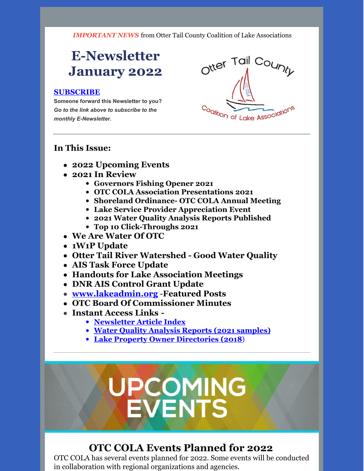*IMPORTANT NEWS* from Otter Tail County Coalition of Lake Associations

# **E-Newsletter January 2022**

#### **[SUBSCRIBE](https://visitor.r20.constantcontact.com/manage/optin?v=0016gC_WI-CN4wJGUJJs_h_8KsqP7MC2fcsEhfdoj_kFGgDyQ3XHJ3YmYowOgAgbwxr_OtkSl70OT0KaCF4hr6hCfMn7SGpQ1-FRzt1EIIqFAiQdmTJ5pPNxZyMeT5JHsn-qhGYgG0AfqJWYtCaA8j-VPqVTxLa0FSjz2nOMPrI28k%3D)**

**Someone forward this Newsletter to you?** *Go to the link above to subscribe to the monthly E-Newsletter.*



#### **In This Issue:**

- **2022 Upcoming Events**
- **2021 In Review**
	- **Governors Fishing Opener 2021**
	- **OTC COLA Association Presentations 2021**
	- **Shoreland Ordinance- OTC COLA Annual Meeting**
	- **Lake Service Provider Appreciation Event**
	- **2021 Water Quality Analysis Reports Published**
	- **Top 10 Click-Throughs 2021**
- **We Are Water Of OTC**
- **1W1P Update**
- **Otter Tail River Watershed - Good Water Quality**
- **AIS Task Force Update**
- **Handouts for Lake Association Meetings**
- **DNR AIS Control Grant Update**
- **[www.lakeadmin.org](http://www.lakeadmin.org)** -**Featured Posts**
- **OTC Board Of Commissioner Minutes**
- **Instant Access Links -**
	- **[Newsletter](http://ottertailcountycola.org/newsletter-article-index/) Article Index**
	- **Water Quality Analysis Reports (2021 [samples\)](https://drive.google.com/drive/folders/1oA6fyrRi-Y3ivybRbmdV946LQXNbcm68?usp=sharing)**
	- **Lake Property Owner [Directories](https://drive.google.com/open?id=1GCTdWuN6D8sSS4Iw5CYs7fx7chTky50k) (2018**)

# **UPCOMING**<br>EVENTS

# **OTC COLA Events Planned for 2022**

OTC COLA has several events planned for 2022. Some events will be conducted in collaboration with regional organizations and agencies.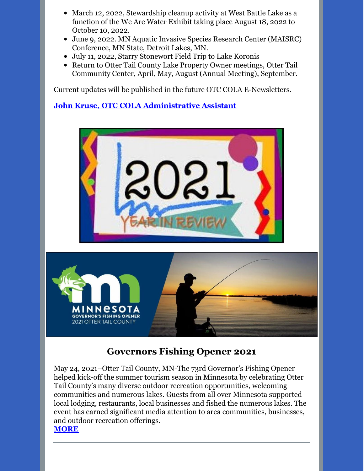- March 12, 2022, Stewardship cleanup activity at West Battle Lake as a function of the We Are Water Exhibit taking place August 18, 2022 to October 10, 2022.
- June 9, 2022. MN Aquatic Invasive Species Research Center (MAISRC) Conference, MN State, Detroit Lakes, MN.
- July 11, 2022, Starry Stonewort Field Trip to Lake Koronis
- Return to Otter Tail County Lake Property Owner meetings, Otter Tail Community Center, April, May, August (Annual Meeting), September.

Current updates will be published in the future OTC COLA E-Newsletters.

#### **John Kruse, OTC COLA [Administrative](mailto:otccola2@gmail.com) Assistant**





# **Governors Fishing Opener 2021**

May 24, 2021–Otter Tail County, MN-The 73rd Governor's Fishing Opener helped kick-off the summer tourism season in Minnesota by celebrating Otter Tail County's many diverse outdoor recreation opportunities, welcoming communities and numerous lakes. Guests from all over Minnesota supported local lodging, restaurants, local businesses and fished the numerous lakes. The event has earned significant media attention to area communities, businesses, and outdoor recreation offerings. **[MORE](https://drive.google.com/file/d/1XhbjW8Yj1YwRaIWNggeq_zwlJQ037qag/view?usp=sharing)**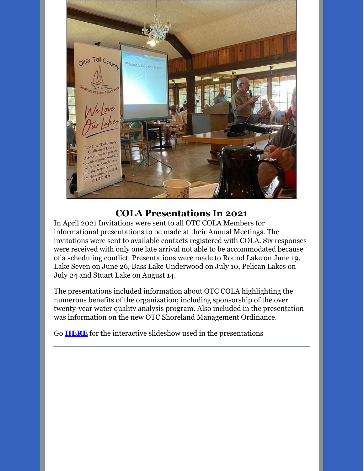

#### **COLA Presentations In 2021**

In April 2021 Invitations were sent to all OTC COLA Members for informational presentations to be made at their Annual Meetings. The invitations were sent to available contacts registered with COLA. Six responses were received with only one late arrival not able to be accommodated because of a scheduling conflict. Presentations were made to Round Lake on June 19, Lake Seven on June 26, Bass Lake Underwood on July 10, Pelican Lakes on July 24 and Stuart Lake on August 14.

The presentations included information about OTC COLA highlighting the numerous benefits of the organization; including sponsorship of the over twenty-year water quality analysis program. Also included in the presentation was information on the new OTC Shoreland Management Ordinance.

Go **[HERE](https://drive.google.com/file/d/10K7WvXpz0Aeyz_C0XM1xf3skomZ4cZEE/view?usp=sharing)** for the interactive slideshow used in the presentations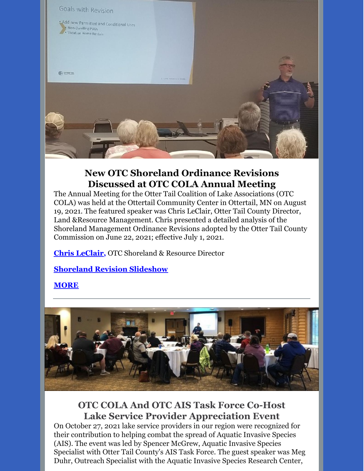

# **New OTC Shoreland Ordinance Revisions Discussed at OTC COLA Annual Meeting**

The Annual Meeting for the Otter Tail Coalition of Lake Associations (OTC COLA) was held at the Ottertail Community Center in Ottertail, MN on August 19, 2021. The featured speaker was Chris LeClair, Otter Tail County Director, Land &Resource Management. Chris presented a detailed analysis of the Shoreland Management Ordinance Revisions adopted by the Otter Tail County Commission on June 22, 2021; effective July 1, 2021.

**Chris [LeClair](mailto:cleclair@co.ottertail.mn.us),** OTC Shoreland & Resource Director

**[Shoreland](https://drive.google.com/file/d/1GGVSBDjSsNEz89Z1N_vsRBquDS-de8nv/view?usp=sharing) Revision Slideshow**

**[MORE](https://ottertailcountycola.org/wp-content/uploads/2021/08/New-OTC-Shoreland-Revisions.pdf)**



# **OTC COLA And OTC AIS Task Force Co-Host Lake Service Provider Appreciation Event**

On October 27, 2021 lake service providers in our region were recognized for their contribution to helping combat the spread of Aquatic Invasive Species (AIS). The event was led by Spencer McGrew, Aquatic Invasive Species Specialist with Otter Tail County's AIS Task Force. The guest speaker was Meg Duhr, Outreach Specialist with the Aquatic Invasive Species Research Center,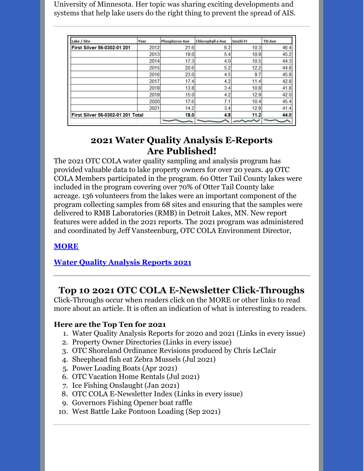University of Minnesota. Her topic was sharing exciting developments and systems that help lake users do the right thing to prevent the spread of AIS.

| Lake / Site                       | Year | <b>Phosphorus Ave</b> | Chlorophyll a Ave | Secchi Ft | <b>TSI Ave</b> |
|-----------------------------------|------|-----------------------|-------------------|-----------|----------------|
| First Silver 56-0302-01 201       | 2012 | 21.6                  | 6.2               | 10.3      | 46.4           |
|                                   | 2013 | 19.0                  | 5.4               | 10.9      | 45.2           |
|                                   | 2014 | 17.3                  | 4.0               | 10.5      | 44.3           |
|                                   | 2015 | 20.6                  | 5.2               | 12.2      | 44.8           |
|                                   | 2016 | 23.0                  | 4.5               | 9.7       | 45.8           |
|                                   | 2017 | 17.4                  | 4.2               | 11.4      | 42.8           |
|                                   | 2018 | 13.8                  | 3.4               | 10.8      | 41.8           |
|                                   | 2019 | 15.0                  | 4.2               | 12.9      | 42.0           |
|                                   | 2020 | 17.6                  | 7.1               | 10.4      | 45.4           |
|                                   | 2021 | 14.2                  | 3.4               | 12.9      | 41.4           |
| First Silver 56-0302-01 201 Total |      | 18.0                  | 4.8               | 11.2      | 44.0           |
|                                   |      |                       |                   |           |                |

#### **2021 Water Quality Analysis E-Reports Are Published!**

The 2021 OTC COLA water quality sampling and analysis program has provided valuable data to lake property owners for over 20 years. 49 OTC COLA Members participated in the program. 60 Otter Tail County lakes were included in the program covering over 70% of Otter Tail County lake acreage. 136 volunteers from the lakes were an important component of the program collecting samples from 68 sites and ensuring that the samples were delivered to RMB Laboratories (RMB) in Detroit Lakes, MN. New report features were added in the 2021 reports. The 2021 program was administered and coordinated by Jeff Vansteenburg, OTC COLA Environment Director,

#### **[MORE](https://drive.google.com/file/d/19cfNqvw27VFAY0o6E9sj_-QTkNHsjFsI/view?usp=sharing)**

#### **Water Quality [Analysis](https://drive.google.com/drive/folders/1oA6fyrRi-Y3ivybRbmdV946LQXNbcm68?usp=sharing) Reports 2021**

# **Top 10 2021 OTC COLA E-Newsletter Click-Throughs**

Click-Throughs occur when readers click on the MORE or other links to read more about an article. It is often an indication of what is interesting to readers.

#### **Here are the Top Ten for 2021**

- 1. Water Quality Analysis Reports for 2020 and 2021 (Links in every issue)
- 2. Property Owner Directories (Links in every issue)
- 3. OTC Shoreland Ordinance Revisions produced by Chris LeClair
- 4. Sheephead fish eat Zebra Mussels (Jul 2021)
- 5. Power Loading Boats (Apr 2021)
- 6. OTC Vacation Home Rentals (Jul 2021)
- 7. Ice Fishing Onslaught (Jan 2021)
- 8. OTC COLA E-Newsletter Index (Links in every issue)
- 9. Governors Fishing Opener boat raffle
- 10. West Battle Lake Pontoon Loading (Sep 2021)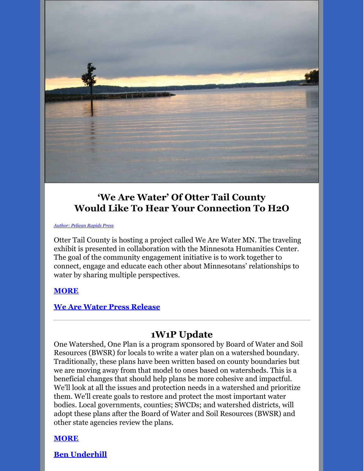

## **'We Are Water' Of Otter Tail County Would Like To Hear Your Connection To H2O**

*[Author:](https://pelicanrapidspress.com/) Pelican Rapids Press*

Otter Tail County is hosting a project called We Are Water MN. The traveling exhibit is presented in collaboration with the Minnesota Humanities Center. The goal of the community engagement initiative is to work together to connect, engage and educate each other about Minnesotans' relationships to water by sharing multiple perspectives.

#### **[MORE](https://drive.google.com/file/d/10ZIRef4hiKIRqmnATTmgtbAKWSiJCCQa/view?usp=sharing)**

#### **We Are Water Press [Release](https://drive.google.com/file/d/11QYvQrbgXf5CUQg7kec_GRWCRyOdAVGs/view?usp=sharing)**

# **1W1P Update**

One Watershed, One Plan is a program sponsored by Board of Water and Soil Resources (BWSR) for locals to write a water plan on a watershed boundary. Traditionally, these plans have been written based on county boundaries but we are moving away from that model to ones based on watersheds. This is a beneficial changes that should help plans be more cohesive and impactful. We'll look at all the issues and protection needs in a watershed and prioritize them. We'll create goals to restore and protect the most important water bodies. Local governments, counties; SWCDs; and watershed districts, will adopt these plans after the Board of Water and Soil Resources (BWSR) and other state agencies review the plans.

#### **[MORE](https://drive.google.com/file/d/1Rw5KRf0GSrWFg2pT6bJ64uewAgISsEXS/view?usp=sharing)**

**Ben [Underhill](mailto:ben.underhill@eot.mn.us)**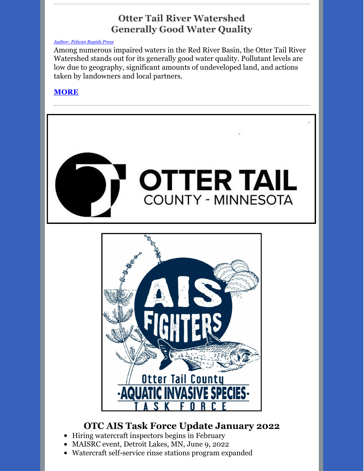# **Otter Tail River Watershed Generally Good Water Quality**

#### *[Author:](https://pelicanrapidspress.com/) Pelican Rapids Press*

Among numerous impaired waters in the Red River Basin, the Otter Tail River Watershed stands out for its generally good water quality. Pollutant levels are low due to geography, significant amounts of undeveloped land, and actions taken by landowners and local partners.

#### **[MORE](https://drive.google.com/file/d/1NcL8PCApFeVMR8KJN-NNKgH6f-7r5Pps/view?usp=sharing)**



# **OTC AIS Task Force Update January 2022**

- Hiring watercraft inspectors begins in February
- MAISRC event, Detroit Lakes, MN, June 9, 2022
- Watercraft self-service rinse stations program expanded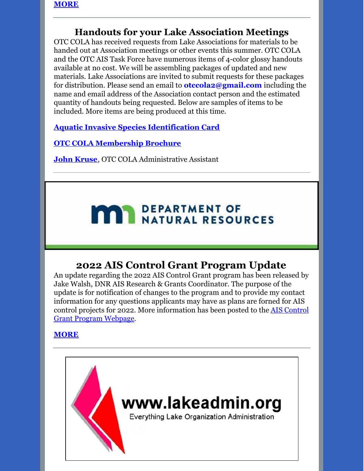## **Handouts for your Lake Association Meetings**

OTC COLA has received requests from Lake Associations for materials to be handed out at Association meetings or other events this summer. OTC COLA and the OTC AIS Task Force have numerous items of 4-color glossy handouts available at no cost. We will be assembling packages of updated and new materials. Lake Associations are invited to submit requests for these packages for distribution. Please send an email to **otccola2@gmail.com** including the name and email address of the Association contact person and the estimated quantity of handouts being requested. Below are samples of items to be included. More items are being produced at this time.

**Aquatic Invasive Species [Identification](https://drive.google.com/file/d/1aUWzicgGG6baz8JKgs03DhLdllWbyI6_/view?usp=sharing) Card**

**OTC COLA [Membership](https://drive.google.com/file/d/1tXrr7qPbdu57FgRruJJMFV2ord41bZ6c/view?usp=sharing) Brochure**

**John [Kruse](mailto:otccola2@gmail.com)**, OTC COLA Administrative Assistant

# **MAY DEPARTMENT OF NATURAL RESOURCES**

# **2022 AIS Control Grant Program Update**

An update regarding the 2022 AIS Control Grant program has been released by Jake Walsh, DNR AIS Research & Grants Coordinator. The purpose of the update is for notification of changes to the program and to provide my contact information for any questions applicants may have as plans are forned for AIS control projects for 2022. More [information](https://www.dnr.state.mn.us/grants/aquatic_invasive/control-projects.html) has been posted to the AIS Control Grant Program Webpage.

#### **[MORE](https://drive.google.com/file/d/15eP7_0OzgDJ-DK1NEpMdhlSYXR46dgQT/view?usp=sharing)**

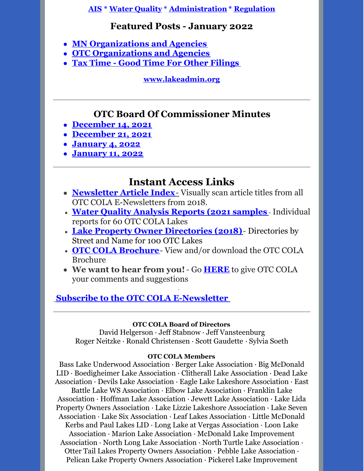**[AIS](https://lakeadmin.org/category/ais/) \* Water [Quality](https://lakeadmin.org/category/waterquality/) \* [Administration](https://lakeadmin.org/category/administration/) \* [Regulation](https://lakeadmin.org/category/regulation/)**

#### **Featured Posts - January 2022**

- **MN [Organizations](https://lakeadmin.org/mnlakeorganizationsandagencies/) and Agencies**
- **OTC [Organizations](https://lakeadmin.org/ottertailcoorganizationsandagencies/) and Agencies**
- **Tax Time - Good Time For Other [Filings](https://lakeadmin.org/lakeannualfilings/)**

**[www.lakeadmin.org](http://www.lakeadmin.org/)**

# **OTC Board Of Commissioner Minutes**

- **[December](https://drive.google.com/file/d/163yiY1NXu_Uc2foshnUb-DqKvdXp85Kb/view?usp=sharing) 14, 2021**
- **[December](https://drive.google.com/file/d/1LkQeiMi4fUxsLS8nLriGd51vvonQNhlS/view?usp=sharing) 21, 2021**
- **[January](https://drive.google.com/file/d/161mFbrTacb0L_W-Rg2YuaiCSrne_K5J8/view?usp=sharing) 4, 2022**
- **[January](https://drive.google.com/file/d/1m8emG2E9aiFX2QobSEnpqRMvpwDLF53B/view?usp=sharing) 11, 2022**

# **Instant Access Links**

- **[Newsletter](http://ottertailcountycola.org/newsletter-article-index/) Article Index**[-](http://ottertailcountycola.org/newsletter-article-index/) Visually scan article titles from all OTC COLA E-Newsletters from 2018.
- **Water Quality [Analysis](https://drive.google.com/drive/folders/1oA6fyrRi-Y3ivybRbmdV946LQXNbcm68?usp=sharing) Reports (2021 samples** Individual reports for 60 OTC COLA Lakes
- **Lake Property Owner [Directories](https://drive.google.com/open?id=1GCTdWuN6D8sSS4Iw5CYs7fx7chTky50k) (2018)** Directories by Street and Name for 100 OTC Lakes
- **OTC COLA [Brochure](https://drive.google.com/file/d/1tXrr7qPbdu57FgRruJJMFV2ord41bZ6c/view)** View and/or download the OTC COLA Brochure
- **We want to hear from you!** Go **[HERE](https://docs.google.com/forms/d/1_MZboIZW-MQjHWOUqNoiWn7LF5UJYDgRdfbq_YjrnbQ/edit)** to give OTC COLA your comments and suggestions

·

# **Subscribe to the OTC COLA [E-Newsletter](https://visitor.r20.constantcontact.com/manage/optin?v=0016gC_WI-CN4wJGUJJs_h_8KsqP7MC2fcs7W09oo_pAVQ1J8LhVLzIBEu4Y05wryo5wL9_Dw-DtniZtwdShRl7vaxtqlwvLHBfglNlDCTnfGl3Mmf7fbD9Etutq4bsOdomX3vXwRa1qTKbkwzBvxir_sI9jo8YH3uaUp8jFsP9MM4%3D&id=preview)**

#### **OTC COLA Board of Directors**

David Helgerson ∙ Jeff Stabnow ∙ Jeff Vansteenburg Roger Neitzke ∙ Ronald Christensen ∙ Scott Gaudette ∙ Sylvia Soeth

#### **OTC COLA Members**

Bass Lake Underwood Association ∙ Berger Lake Association ∙ Big McDonald LID ∙ Boedigheimer Lake Association ∙ Clitherall Lake Association ∙ Dead Lake Association ∙ Devils Lake Association ∙ Eagle Lake Lakeshore Association ∙ East Battle Lake WS Association ∙ Elbow Lake Association ∙ Franklin Lake Association ∙ Hoffman Lake Association ∙ Jewett Lake Association ∙ Lake Lida Property Owners Association ∙ Lake Lizzie Lakeshore Association ∙ Lake Seven Association ∙ Lake Six Association ∙ Leaf Lakes Association ∙ Little McDonald Kerbs and Paul Lakes LID ∙ Long Lake at Vergas Association ∙ Loon Lake Association ∙ Marion Lake Association ∙ McDonald Lake Improvement Association ∙ North Long Lake Association ∙ North Turtle Lake Association ∙ Otter Tail Lakes Property Owners Association ∙ Pebble Lake Association ∙ Pelican Lake Property Owners Association ∙ Pickerel Lake Improvement